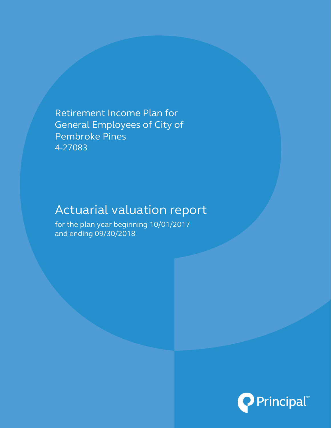Retirement Income Plan for General Employees of City of Pembroke Pines 4-27083

# Actuarial valuation report

for the plan year beginning 10/01/2017 and ending 09/30/2018

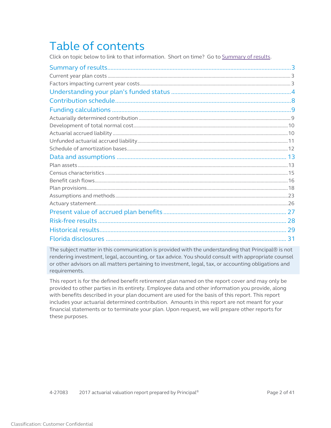# Table of contents

Click on topic below to link to that information. Short on time? Go t[o Summary of results.](#page-2-0)

| -31 |
|-----|

The subject matter in this communication is provided with the understanding that Principal® is not rendering investment, legal, accounting, or tax advice. You should consult with appropriate counsel or other advisors on all matters pertaining to investment, legal, tax, or accounting obligations and requirements.

This report is for the defined benefit retirement plan named on the report cover and may only be provided to other parties in its entirety. Employee data and other information you provide, along with benefits described in your plan document are used for the basis of this report. This report includes your actuarial determined contribution. Amounts in this report are not meant for your financial statements or to terminate your plan. Upon request, we will prepare other reports for these purposes.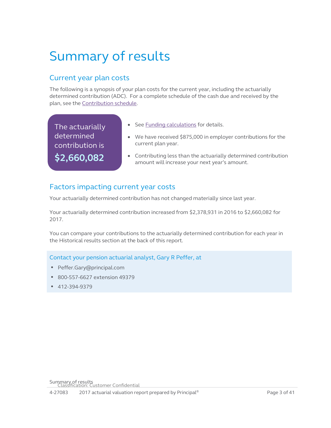# <span id="page-2-0"></span>Summary of results

# Current year plan costs

The following is a synopsis of your plan costs for the current year, including the actuarially determined contribution (ADC). For a complete schedule of the cash due and received by the plan, see the [Contribution schedule.](#page-7-1)

The actuarially determined contribution is **\$2,660,082**

- <span id="page-2-2"></span><span id="page-2-1"></span>• See [Funding calculations](#page-8-2) for details.
- We have received \$875,000 in employer contributions for the current plan year.
- <span id="page-2-3"></span>• Contributing less than the actuarially determined contribution amount will increase your next year's amount.

# Factors impacting current year costs

Your actuarially determined contribution has not changed materially since last year.

Your actuarially determined contribution increased from \$2,378,931 in 2016 to \$2,660,082 for 2017.

You can compare your contributions to the actuarially determined contribution for each year in the Historical results section at the back of this report.

Contact your pension actuarial analyst, Gary R Peffer, at

- Peffer.Gary@principal.com
- 800-557-6627 extension 49379
- 412-394-9379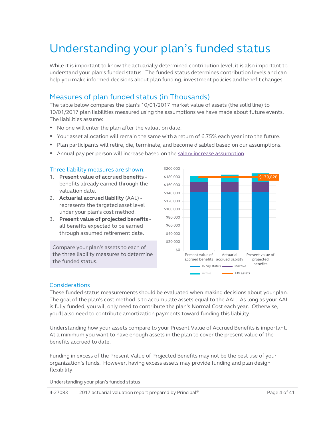# Understanding your plan's funded status

While it is important to know the actuarially determined contribution level, it is also important to understand your plan's funded status. The funded status determines contribution levels and can help you make informed decisions about plan funding, investment policies and benefit changes.

### Measures of plan funded status (in Thousands)

The table below compares the plan's 10/01/2017 market value of assets (the solid line) to 10/01/2017 plan liabilities measured using the assumptions we have made about future events. The liabilities assume:

- No one will enter the plan after the valuation date.
- Your asset allocation will remain the same with a return of 6.75% each year into the future.
- Plan participants will retire, die, terminate, and become disabled based on our assumptions.
- Annual pay per person will increase based on the [salary increase assumption.](#page-23-0)

#### Three liability measures are shown:

- 1. **Present value of accrued benefits** benefits already earned through the valuation date.
- 2. **Actuarial accrued liability** (AAL) represents the targeted asset level under your plan's cost method.
- 3. **Present value of projected benefits** all benefits expected to be earned through assumed retirement date.

Compare your plan's assets to each of the three liability measures to determine the funded status.

<span id="page-3-0"></span>

#### **Considerations**

These funded status measurements should be evaluated when making decisions about your plan. The goal of the plan's cost method is to accumulate assets equal to the AAL. As long as your AAL is fully funded, you will only need to contribute the plan's Normal Cost each year. Otherwise, you'll also need to contribute amortization payments toward funding this liability.

Understanding how your assets compare to your Present Value of Accrued Benefits is important. At a minimum you want to have enough assets in the plan to cover the present value of the benefits accrued to date.

Funding in excess of the Present Value of Projected Benefits may not be the best use of your organization's funds. However, having excess assets may provide funding and plan design flexibility.

Understanding your plan's funded status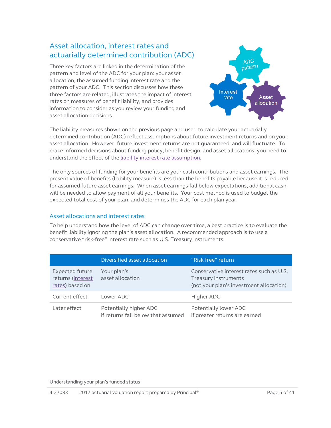## Asset allocation, interest rates and actuarially determined contribution (ADC)

Three key factors are linked in the determination of the pattern and level of the ADC for your plan: your asset allocation, the assumed funding interest rate and the pattern of your ADC. This section discusses how these three factors are related, illustrates the impact of interest rates on measures of benefit liability, and provides information to consider as you review your funding and asset allocation decisions.



The liability measures shown on the previous page and used to calculate your actuarially determined contribution (ADC) reflect assumptions about future investment returns and on your asset allocation. However, future investment returns are not guaranteed, and will fluctuate. To make informed decisions about funding policy, benefit design, and asset allocations, you need to understand the effect of the [liability interest rate assumption.](#page-22-1) 

The only sources of funding for your benefits are your cash contributions and asset earnings. The present value of benefits (liability measure) is less than the benefits payable because it is reduced for assumed future asset earnings. When asset earnings fall below expectations, additional cash will be needed to allow payment of all your benefits. Your cost method is used to budget the expected total cost of your plan, and determines the ADC for each plan year.

#### Asset allocations and interest rates

To help understand how the level of ADC can change over time, a best practice is to evaluate the benefit liability ignoring the plan's asset allocation. A recommended approach is to use a conservative "risk-free" interest rate such as U.S. Treasury instruments.

|                                                                | Diversified asset allocation                                 | "Risk free" return                                                                                          |
|----------------------------------------------------------------|--------------------------------------------------------------|-------------------------------------------------------------------------------------------------------------|
| <b>Expected future</b><br>returns (interest<br>rates) based on | Your plan's<br>asset allocation                              | Conservative interest rates such as U.S.<br>Treasury instruments<br>(not your plan's investment allocation) |
| Current effect                                                 | Lower ADC                                                    | Higher ADC                                                                                                  |
| Later effect                                                   | Potentially higher ADC<br>if returns fall below that assumed | Potentially lower ADC<br>if greater returns are earned                                                      |

Understanding your plan's funded status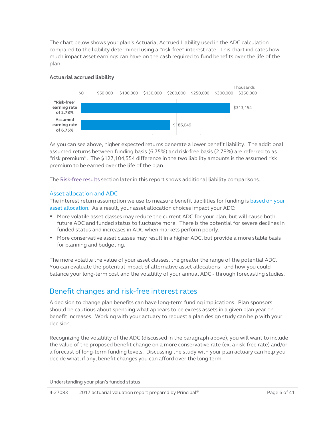The chart below shows your plan's Actuarial Accrued Liability used in the ADC calculation compared to the liability determined using a "risk-free" interest rate. This chart indicates how much impact asset earnings can have on the cash required to fund benefits over the life of the plan.

#### **Actuarial accrued liability**



As you can see above, higher expected returns generate a lower benefit liability. The additional assumed returns between funding basis (6.75%) and risk-free basis (2.78%) are referred to as "risk premium". The \$127,104,554 difference in the two liability amounts is the assumed risk premium to be earned over the life of the plan.

The [Risk-free results](#page-27-1) section later in this report shows additional liability comparisons.

#### Asset allocation and ADC

The interest return assumption we use to measure benefit liabilities for funding is based on your asset allocation. As a result, your asset allocation choices impact your ADC:

- More volatile asset classes may reduce the current ADC for your plan, but will cause both future ADC and funded status to fluctuate more. There is the potential for severe declines in funded status and increases in ADC when markets perform poorly.
- More conservative asset classes may result in a higher ADC, but provide a more stable basis for planning and budgeting.

The more volatile the value of your asset classes, the greater the range of the potential ADC. You can evaluate the potential impact of alternative asset allocations - and how you could balance your long-term cost and the volatility of your annual ADC - through forecasting studies.

### Benefit changes and risk-free interest rates

A decision to change plan benefits can have long-term funding implications. Plan sponsors should be cautious about spending what appears to be excess assets in a given plan year on benefit increases. Working with your actuary to request a plan design study can help with your decision.

Recognizing the volatility of the ADC (discussed in the paragraph above), you will want to include the value of the proposed benefit change on a more conservative rate (ex. a risk-free rate) and/or a forecast of long-term funding levels. Discussing the study with your plan actuary can help you decide what, if any, benefit changes you can afford over the long term.

Understanding your plan's funded status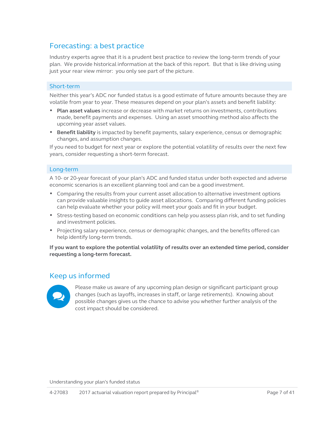### Forecasting: a best practice

Industry experts agree that it is a prudent best practice to review the long-term trends of your plan. We provide historical information at the back of this report. But that is like driving using just your rear view mirror: you only see part of the picture.

#### Short-term

Neither this year's ADC nor funded status is a good estimate of future amounts because they are volatile from year to year. These measures depend on your plan's assets and benefit liability:

- **Plan asset values** increase or decrease with market returns on investments, contributions made, benefit payments and expenses. Using an asset smoothing method also affects the upcoming year asset values.
- **Benefit liability** is impacted by benefit payments, salary experience, census or demographic changes, and assumption changes.

If you need to budget for next year or explore the potential volatility of results over the next few years, consider requesting a short-term forecast.

#### Long-term

A 10- or 20-year forecast of your plan's ADC and funded status under both expected and adverse economic scenarios is an excellent planning tool and can be a good investment.

- Comparing the results from your current asset allocation to alternative investment options can provide valuable insights to guide asset allocations. Comparing different funding policies can help evaluate whether your policy will meet your goals and fit in your budget.
- Stress-testing based on economic conditions can help you assess plan risk, and to set funding and investment policies.
- Projecting salary experience, census or demographic changes, and the benefits offered can help identify long-term trends.

**If you want to explore the potential volatility of results over an extended time period, consider requesting a long-term forecast.**

#### Keep us informed



Please make us aware of any upcoming plan design or significant participant group changes (such as layoffs, increases in staff, or large retirements). Knowing about possible changes gives us the chance to advise you whether further analysis of the cost impact should be considered.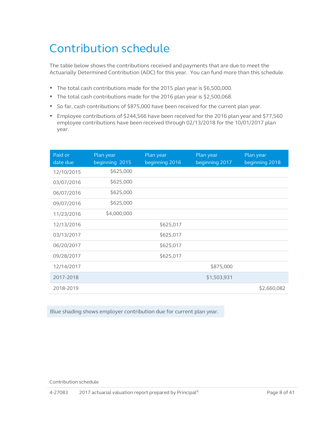# <span id="page-7-1"></span><span id="page-7-0"></span>Contribution schedule

The table below shows the contributions received and payments that are due to meet the Actuarially Determined Contribution (ADC) for this year. You can fund more than this schedule.

- The total cash contributions made for the 2015 plan year is \$6,500,000.
- The total cash contributions made for the 2016 plan year is \$2,500,068.
- So far, cash contributions of \$875,000 have been received for the current plan year.
- Employee contributions of \$244,566 have been received for the 2016 plan year and \$77,560 employee contributions have been received through 02/13/2018 for the 10/01/2017 plan year.

| Paid or<br>date due | Plan year<br>beginning 2015 | Plan year<br>beginning 2016 | Plan year<br>beginning 2017 | Plan year<br>beginning 2018 |
|---------------------|-----------------------------|-----------------------------|-----------------------------|-----------------------------|
| 12/10/2015          | \$625,000                   |                             |                             |                             |
| 03/07/2016          | \$625,000                   |                             |                             |                             |
| 06/07/2016          | \$625,000                   |                             |                             |                             |
| 09/07/2016          | \$625,000                   |                             |                             |                             |
| 11/23/2016          | \$4,000,000                 |                             |                             |                             |
| 12/13/2016          |                             | \$625,017                   |                             |                             |
| 03/13/2017          |                             | \$625,017                   |                             |                             |
| 06/20/2017          |                             | \$625,017                   |                             |                             |
| 09/28/2017          |                             | \$625,017                   |                             |                             |
| 12/14/2017          |                             |                             | \$875,000                   |                             |
| 2017-2018           |                             |                             | \$1,503,931                 |                             |
| 2018-2019           |                             |                             |                             | \$2,660,082                 |

Blue shading shows employer contribution due for current plan year.

Contribution schedule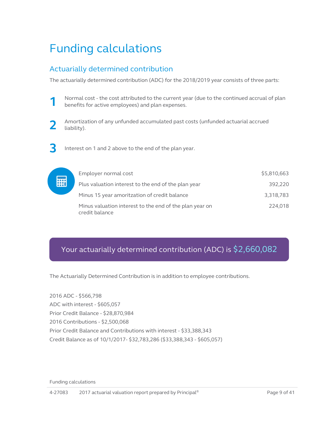# <span id="page-8-2"></span><span id="page-8-0"></span>Funding calculations

# <span id="page-8-1"></span>Actuarially determined contribution

The actuarially determined contribution (ADC) for the 2018/2019 year consists of three parts:



**1** Normal cost - the cost attributed to the current year (due to the continued accrual of plan benefits for active employees) and plan expenses.



**2** Amortization of any unfunded accumulated past costs (unfunded actuarial accrued liability).

**3** Interest on 1 and 2 above to the end of the plan year.

| Employer normal cost |                                                         | \$5,810,663 |
|----------------------|---------------------------------------------------------|-------------|
|                      | Plus valuation interest to the end of the plan year     | 392.220     |
|                      | Minus 15 year amoritzation of credit balance            | 3,318,783   |
| credit balance       | Minus valuation interest to the end of the plan year on | 224,018     |

# Your actuarially determined contribution (ADC) is \$2,660,082

The Actuarially Determined Contribution is in addition to employee contributions.

2016 ADC - \$566,798 ADC with interest - \$605,057 Prior Credit Balance - \$28,870,984 2016 Contributions - \$2,500,068 Prior Credit Balance and Contributions with interest - \$33,388,343 Credit Balance as of 10/1/2017- \$32,783,286 (\$33,388,343 - \$605,057)

Funding calculations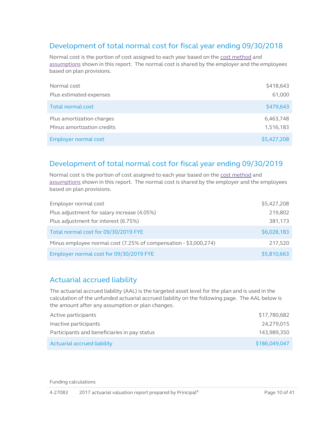## <span id="page-9-2"></span><span id="page-9-0"></span>Development of total normal cost for fiscal year ending 09/30/2018

Normal cost is the portion of cost assigned to each year based on th[e cost method](#page-24-0) and [assumptions](#page-22-2) shown in this report. The normal cost is shared by the employer and the employees based on plan provisions.

| Normal cost                | \$418,643   |
|----------------------------|-------------|
| Plus estimated expenses    | 61,000      |
| Total normal cost          | \$479,643   |
| Plus amortization charges  | 6,463,748   |
| Minus amortization credits | 1,516,183   |
| Employer normal cost       | \$5,427,208 |

## Development of total normal cost for fiscal year ending 09/30/2019

Normal cost is the portion of cost assigned to each year based on th[e cost method](#page-24-0) and [assumptions](#page-22-2) shown in this report. The normal cost is shared by the employer and the employees based on plan provisions.

| Employer normal cost                                             | \$5,427,208 |
|------------------------------------------------------------------|-------------|
| Plus adjustment for salary increase (4.05%)                      | 219,802     |
| Plus adjustment for interest (6.75%)                             | 381,173     |
| Total normal cost for 09/30/2019 FYE                             | \$6,028,183 |
| Minus employee normal cost (7.25% of compensation - \$3,000,274) | 217,520     |
| Employer normal cost for 09/30/2019 FYE                          | \$5,810,663 |

### <span id="page-9-1"></span>Actuarial accrued liability

The actuarial accrued liability (AAL) is the targeted asset level for the plan and is used in the calculation of the unfunded actuarial accrued liability on the following page. The AAL below is the amount after any assumption or plan changes.

| Active participants                          | \$17,780,682  |
|----------------------------------------------|---------------|
| Inactive participants                        | 24.279.015    |
| Participants and beneficiaries in pay status | 143.989.350   |
| Actuarial accrued liability                  | \$186,049,047 |

Funding calculations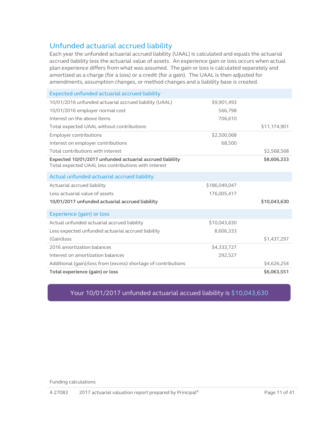## <span id="page-10-0"></span>Unfunded actuarial accrued liability

Each year the unfunded actuarial accrued liability (UAAL) is calculated and equals the actuarial accrued liability less the actuarial value of assets. An experience gain or loss occurs when actual plan experience differs from what was assumed. The gain or loss is calculated separately and amortized as a charge (for a loss) or a credit (for a gain). The UAAL is then adjusted for amendments, assumption changes, or method changes and a liability base is created.

| Expected unfunded actuarial accrued liability                                                                    |               |              |
|------------------------------------------------------------------------------------------------------------------|---------------|--------------|
| 10/01/2016 unfunded actuarial accrued liability (UAAL)                                                           | \$9,901,493   |              |
| 10/01/2016 employer normal cost                                                                                  | 566,798       |              |
| Interest on the above items                                                                                      | 706,610       |              |
| Total expected UAAL without contributions                                                                        |               | \$11,174,901 |
| <b>Employer contributions</b>                                                                                    | \$2,500,068   |              |
| Interest on employer contributions                                                                               | 68,500        |              |
| Total contributions with interest                                                                                |               | \$2,568,568  |
| Expected 10/01/2017 unfunded actuarial accrued liability<br>Total expected UAAL less contributions with interest |               | \$8,606,333  |
| Actual unfunded actuarial accrued liability                                                                      |               |              |
| Actuarial accrued liability                                                                                      | \$186,049,047 |              |
| Less actuarial value of assets                                                                                   | 176,005,417   |              |
| 10/01/2017 unfunded actuarial accrued liability                                                                  |               | \$10,043,630 |
| Experience (gain) or loss                                                                                        |               |              |
| Actual unfunded actuarial accrued liability                                                                      | \$10,043,630  |              |
| Less expected unfunded actuarial accrued liability                                                               | 8,606,333     |              |
| (Gain) loss                                                                                                      |               | \$1,437,297  |
| 2016 amortization balances                                                                                       | \$4,333,727   |              |
| Interest on amortization balances                                                                                | 292,527       |              |
| Additional (gain)/loss from (excess) shortage of contributions                                                   |               | \$4,626,254  |
| Total experience (gain) or loss                                                                                  |               | \$6,063,551  |

### Your 10/01/2017 unfunded actuarial accued liability is \$10,043,630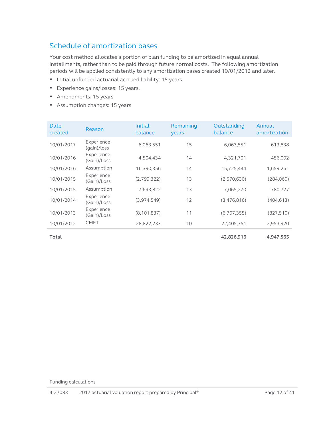## <span id="page-11-1"></span><span id="page-11-0"></span>Schedule of amortization bases

Your cost method allocates a portion of plan funding to be amortized in equal annual installments, rather than to be paid through future normal costs. The following amortization periods will be applied consistently to any amortization bases created 10/01/2012 and later.

- Initial unfunded actuarial accrued liability: 15 years
- Experience gains/losses: 15 years.
- Amendments: 15 years
- Assumption changes: 15 years

| Date<br>created | Reason                    | <b>Initial</b><br>balance | Remaining<br>years | Outstanding<br>balance | Annual<br>amortization |
|-----------------|---------------------------|---------------------------|--------------------|------------------------|------------------------|
| 10/01/2017      | Experience<br>(gain)/loss | 6,063,551                 | 15                 | 6,063,551              | 613,838                |
| 10/01/2016      | Experience<br>(Gain)/Loss | 4,504,434                 | 14                 | 4,321,701              | 456,002                |
| 10/01/2016      | Assumption                | 16,390,356                | 14                 | 15,725,444             | 1,659,261              |
| 10/01/2015      | Experience<br>(Gain)/Loss | (2,799,322)               | 13                 | (2,570,630)            | (284,060)              |
| 10/01/2015      | Assumption                | 7,693,822                 | 13                 | 7,065,270              | 780,727                |
| 10/01/2014      | Experience<br>(Gain)/Loss | (3,974,549)               | 12                 | (3,476,816)            | (404, 613)             |
| 10/01/2013      | Experience<br>(Gain)/Loss | (8, 101, 837)             | 11                 | (6,707,355)            | (827, 510)             |
| 10/01/2012      | <b>CMET</b>               | 28,822,233                | 10                 | 22,405,751             | 2,953,920              |
|                 |                           |                           |                    |                        |                        |

**Total 42,826,916 4,947,565**

Funding calculations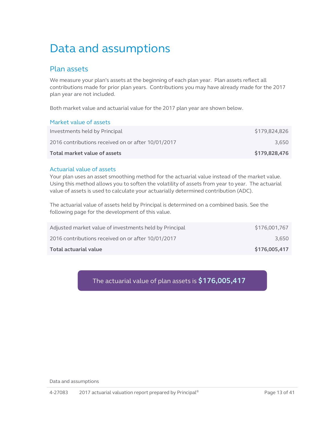# <span id="page-12-0"></span>Data and assumptions

### <span id="page-12-1"></span>Plan assets

We measure your plan's assets at the beginning of each plan year. Plan assets reflect all contributions made for prior plan years. Contributions you may have already made for the 2017 plan year are not included.

Both market value and actuarial value for the 2017 plan year are shown below.

#### Market value of assets

| Total market value of assets                       | \$179,828,476 |
|----------------------------------------------------|---------------|
| 2016 contributions received on or after 10/01/2017 | 3.650         |
| Investments held by Principal                      | \$179,824,826 |

#### Actuarial value of assets

Your plan uses an asset smoothing method for the actuarial value instead of the market value. Using this method allows you to soften the volatility of assets from year to year. The actuarial value of assets is used to calculate your actuarially determined contribution (ADC).

The actuarial value of assets held by Principal is determined on a combined basis. See the following page for the development of this value.

| Total actuarial value                                  | \$176,005,417 |
|--------------------------------------------------------|---------------|
| 2016 contributions received on or after 10/01/2017     | 3.650         |
| Adjusted market value of investments held by Principal | \$176,001,767 |

### The actuarial value of plan assets is **\$176,005,417**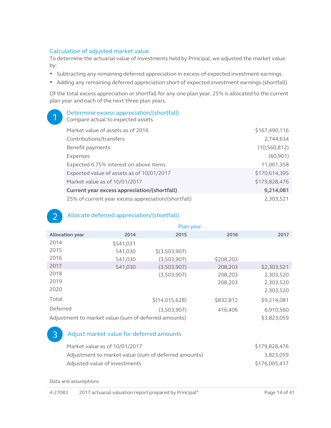#### Calculation of adjusted market value

To determine the actuarial value of Investments held by Principal, we adjusted the market value by:

- Subtracting any remaining deferred appreciation in excess of expected investment earnings.
- Adding any remaining deferred appreciation short of expected investment earnings (shortfall).

Of the total excess appreciation or shortfall for any one plan year, 25% is allocated to the current plan year and each of the next three plan years.

| Determine excess appreciation/(shortfall)<br>Compare actual to expected assets |                |
|--------------------------------------------------------------------------------|----------------|
| Market value of assets as of 2016                                              | \$167,490,116  |
| Contributions/transfers                                                        | 2,744,634      |
| Benefit payments                                                               | (10, 560, 812) |
| Expenses                                                                       | (60, 901)      |
| Expected 6.75% interest on above items                                         | 11.001.358     |
| Expected value of assets as of 10/01/2017                                      | \$170,614,395  |
| Market value as of 10/01/2017                                                  | \$179,828,476  |
| Current year excess appreciation/(shortfall)                                   | 9,214,081      |
| 25% of current year excess appreciation/(shortfall)                            | 2,303,521      |

#### Allocate deferred appreciation/(shortfall)

|                                                      |           |                 | Plan year |             |
|------------------------------------------------------|-----------|-----------------|-----------|-------------|
| <b>Allocation year</b>                               | 2014      | 2015            | 2016      | 2017        |
| 2014                                                 | \$541,031 |                 |           |             |
| 2015                                                 | 541,030   | $$$ (3,503,907) |           |             |
| 2016                                                 | 541,030   | (3,503,907)     | \$208,203 |             |
| 2017                                                 | 541,030   | (3,503,907)     | 208,203   | \$2,303,521 |
| 2018                                                 |           | (3,503,907)     | 208,203   | 2,303,520   |
| 2019                                                 |           |                 | 208,203   | 2,303,520   |
| 2020                                                 |           |                 |           | 2,303,520   |
| Total                                                |           | \$(14,015,628)  | \$832,812 | \$9,214,081 |
| Deferred                                             |           | (3.503.907)     | 416,406   | 6,910,560   |
| Adjustment to market value (sum of deferred amounts) |           |                 |           | \$3,823,059 |

#### Adjust market value for deferred amounts

| Market value as of 10/01/2017                        | \$179,828,476 |
|------------------------------------------------------|---------------|
| Adjustment to market value (sum of deferred amounts) | 3.823.059     |
| Adjusted value of investments                        | \$176,005,417 |

Data and assumptions

 $\mathcal{P}$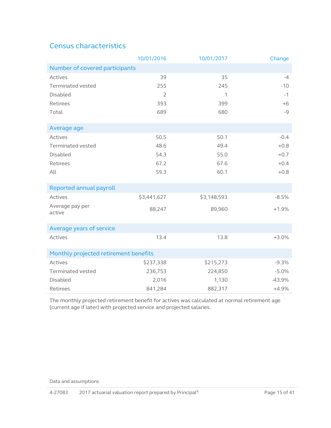# <span id="page-14-1"></span><span id="page-14-0"></span>Census characteristics

|                                       | 10/01/2016     | 10/01/2017  | Change   |
|---------------------------------------|----------------|-------------|----------|
| Number of covered participants        |                |             |          |
| Actives                               | 39             | 35          | $-4$     |
| Terminated vested                     | 255            | 245         | $-10$    |
| Disabled                              | $\overline{2}$ | 1           | $-1$     |
| Retirees                              | 393            | 399         | $+6$     |
| Total                                 | 689            | 680         | $-9$     |
|                                       |                |             |          |
| Average age                           |                |             |          |
| Actives                               | 50.5           | 50.1        | $-0.4$   |
| <b>Terminated vested</b>              | 48.6           | 49.4        | $+0.8$   |
| <b>Disabled</b>                       | 54.3           | 55.0        | $+0.7$   |
| Retirees                              | 67.2           | 67.6        | $+0.4$   |
| All                                   | 59.3           | 60.1        | $+0.8$   |
|                                       |                |             |          |
| Reported annual payroll               |                |             |          |
| Actives                               | \$3,441,627    | \$3,148,593 | $-8.5%$  |
| Average pay per                       | 88,247         | 89,960      | $+1.9%$  |
| active                                |                |             |          |
| Average years of service              |                |             |          |
| Actives                               | 13.4           | 13.8        | $+3.0%$  |
|                                       |                |             |          |
| Monthly projected retirement benefits |                |             |          |
| Actives                               | \$237,338      | \$215,273   | $-9.3%$  |
| Terminated vested                     | 236,753        | 224,850     | $-5.0%$  |
| <b>Disabled</b>                       | 2,016          | 1,130       | $-43.9%$ |
| Retirees                              | 841,284        | 882,317     | $+4.9%$  |

The monthly projected retirement benefit for actives was calculated at normal retirement age (current age if later) with projected service and projected salaries.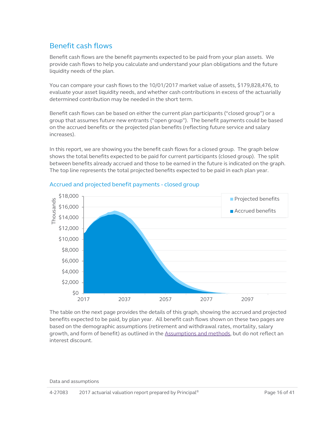### <span id="page-15-1"></span><span id="page-15-0"></span>Benefit cash flows

Benefit cash flows are the benefit payments expected to be paid from your plan assets. We provide cash flows to help you calculate and understand your plan obligations and the future liquidity needs of the plan.

You can compare your cash flows to the 10/01/2017 market value of assets, \$179,828,476, to evaluate your asset liquidity needs, and whether cash contributions in excess of the actuarially determined contribution may be needed in the short term.

Benefit cash flows can be based on either the current plan participants ("closed group") or a group that assumes future new entrants ("open group"). The benefit payments could be based on the accrued benefits or the projected plan benefits (reflecting future service and salary increases).

In this report, we are showing you the benefit cash flows for a closed group. The graph below shows the total benefits expected to be paid for current participants (closed group). The split between benefits already accrued and those to be earned in the future is indicated on the graph. The top line represents the total projected benefits expected to be paid in each plan year.



#### Accrued and projected benefit payments - closed group

The table on the next page provides the details of this graph, showing the accrued and projected benefits expected to be paid, by plan year. All benefit cash flows shown on these two pages are based on the demographic assumptions (retirement and withdrawal rates, mortality, salary growth, and form of benefit) as outlined in the [Assumptions and methods,](#page-22-2) but do not reflect an interest discount.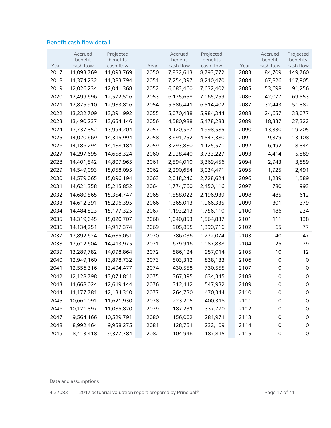#### Benefit cash flow detail

|      | Accrued    | Projected  |      | Accrued   | Projected |      | Accrued             | Projected           |
|------|------------|------------|------|-----------|-----------|------|---------------------|---------------------|
|      | benefit    | benefits   |      | benefit   | benefits  |      | benefit             | benefits            |
| Year | cash flow  | cash flow  | Year | cash flow | cash flow | Year | cash flow           | cash flow           |
| 2017 | 11,093,769 | 11,093,769 | 2050 | 7,832,613 | 8,793,772 | 2083 | 84,709              | 149,760             |
| 2018 | 11,374,232 | 11,383,794 | 2051 | 7,254,397 | 8,210,470 | 2084 | 67,826              | 117,905             |
| 2019 | 12,026,234 | 12,041,368 | 2052 | 6,683,460 | 7,632,402 | 2085 | 53,698              | 91,256              |
| 2020 | 12,499,696 | 12,572,516 | 2053 | 6,125,658 | 7,065,259 | 2086 | 42,077              | 69,553              |
| 2021 | 12,875,910 | 12,983,816 | 2054 | 5,586,441 | 6,514,402 | 2087 | 32,443              | 51,882              |
| 2022 | 13,232,709 | 13,391,992 | 2055 | 5,070,438 | 5,984,344 | 2088 | 24,657              | 38,077              |
| 2023 | 13,490,237 | 13,654,146 | 2056 | 4,580,988 | 5,478,283 | 2089 | 18,337              | 27,322              |
| 2024 | 13,737,852 | 13,994,204 | 2057 | 4,120,567 | 4,998,585 | 2090 | 13,330              | 19,205              |
| 2025 | 14,020,669 | 14,315,994 | 2058 | 3,691,252 | 4,547,380 | 2091 | 9,379               | 13,108              |
| 2026 | 14,186,294 | 14,488,184 | 2059 | 3,293,880 | 4,125,571 | 2092 | 6,492               | 8,844               |
| 2027 | 14,297,695 | 14,658,324 | 2060 | 2,928,440 | 3,733,227 | 2093 | 4,414               | 5,889               |
| 2028 | 14,401,542 | 14,807,965 | 2061 | 2,594,010 | 3,369,456 | 2094 | 2,943               | 3,859               |
| 2029 | 14,549,093 | 15,058,095 | 2062 | 2,290,654 | 3,034,471 | 2095 | 1,925               | 2,491               |
| 2030 | 14,579,065 | 15,096,194 | 2063 | 2,018,246 | 2,728,624 | 2096 | 1,239               | 1,589               |
| 2031 | 14,621,358 | 15,215,852 | 2064 | 1,774,760 | 2,450,116 | 2097 | 780                 | 993                 |
| 2032 | 14,680,565 | 15,354,747 | 2065 | 1,558,022 | 2,196,939 | 2098 | 485                 | 612                 |
| 2033 | 14,612,391 | 15,296,395 | 2066 | 1,365,013 | 1,966,335 | 2099 | 301                 | 379                 |
| 2034 | 14,484,823 | 15,177,325 | 2067 | 1,193,213 | 1,756,110 | 2100 | 186                 | 234                 |
| 2035 | 14,319,645 | 15,020,707 | 2068 | 1,040,853 | 1,564,837 | 2101 | 111                 | 138                 |
| 2036 | 14,134,251 | 14,917,374 | 2069 | 905,855   | 1,390,716 | 2102 | 65                  | 77                  |
| 2037 | 13,892,624 | 14,685,051 | 2070 | 786,036   | 1,232,074 | 2103 | 40                  | 47                  |
| 2038 | 13,612,604 | 14,413,975 | 2071 | 679,916   | 1,087,838 | 2104 | 25                  | 29                  |
| 2039 | 13,289,782 | 14,098,864 | 2072 | 586,124   | 957,014   | 2105 | 10                  | 12                  |
| 2040 | 12,949,160 | 13,878,732 | 2073 | 503,312   | 838,133   | 2106 | 0                   | 0                   |
| 2041 | 12,556,316 | 13,494,477 | 2074 | 430,558   | 730,555   | 2107 | $\mathbf 0$         | 0                   |
| 2042 | 12,128,798 | 13,074,811 | 2075 | 367,395   | 634,345   | 2108 | $\mathsf{O}\xspace$ | $\mathsf{O}\xspace$ |
| 2043 | 11,668,024 | 12,619,144 | 2076 | 312,412   | 547,932   | 2109 | 0                   | $\mathsf{O}\xspace$ |
| 2044 | 11,177,781 | 12,134,310 | 2077 | 264,730   | 470,344   | 2110 | 0                   | 0                   |
| 2045 | 10,661,091 | 11,621,930 | 2078 | 223,205   | 400,318   | 2111 | $\mathsf{O}\xspace$ | 0                   |
| 2046 | 10,121,897 | 11,085,820 | 2079 | 187,231   | 337,770   | 2112 | $\mathsf{O}\xspace$ | 0                   |
| 2047 | 9,564,166  | 10,529,791 | 2080 | 156,002   | 281,971   | 2113 | $\mathsf{O}\xspace$ | $\mathsf{O}\xspace$ |
| 2048 | 8,992,464  | 9,958,275  | 2081 | 128,751   | 232,109   | 2114 | $\mathsf{O}\xspace$ | 0                   |
| 2049 | 8,413,418  | 9,377,784  | 2082 | 104,946   | 187,815   | 2115 | $\mathsf{O}\xspace$ | 0                   |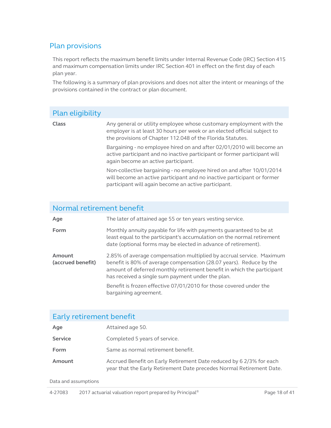## <span id="page-17-1"></span><span id="page-17-0"></span>Plan provisions

This report reflects the maximum benefit limits under Internal Revenue Code (IRC) Section 415 and maximum compensation limits under IRC Section 401 in effect on the first day of each plan year.

The following is a summary of plan provisions and does not alter the intent or meanings of the provisions contained in the contract or plan document.

| Plan eligibility          |                                                                                                                                                                                                               |
|---------------------------|---------------------------------------------------------------------------------------------------------------------------------------------------------------------------------------------------------------|
| Class                     | Any general or utility employee whose customary employment with the<br>employer is at least 30 hours per week or an elected official subject to<br>the provisions of Chapter 112.048 of the Florida Statutes. |
|                           | Bargaining - no employee hired on and after 02/01/2010 will become an<br>active participant and no inactive participant or former participant will<br>again become an active participant.                     |
|                           | Non-collective bargaining - no employee hired on and after 10/01/2014<br>will become an active participant and no inactive participant or former<br>participant will again become an active participant.      |
| Normal retirement benefit |                                                                                                                                                                                                               |
| Age                       | The later of attained age 55 or ten years vesting service.                                                                                                                                                    |
| Form                      | Monthly annuity payable for life with payments guaranteed to be at<br>least equal to the participant's accumulation on the normal retirement                                                                  |

**Amount (accrued benefit)** 2.85% of average compensation multiplied by accrual service. Maximum benefit is 80% of average compensation (28.07 years). Reduce by the amount of deferred monthly retirement benefit in which the participant has received a single sum payment under the plan. Benefit is frozen effective 07/01/2010 for those covered under the

bargaining agreement.

date (optional forms may be elected in advance of retirement).

## Early retirement benefit

| Age            | Attained age 50.                                                                                                                            |
|----------------|---------------------------------------------------------------------------------------------------------------------------------------------|
| <b>Service</b> | Completed 5 years of service.                                                                                                               |
| <b>Form</b>    | Same as normal retirement benefit.                                                                                                          |
| Amount         | Accrued Benefit on Early Retirement Date reduced by 6 2/3% for each<br>year that the Early Retirement Date precedes Normal Retirement Date. |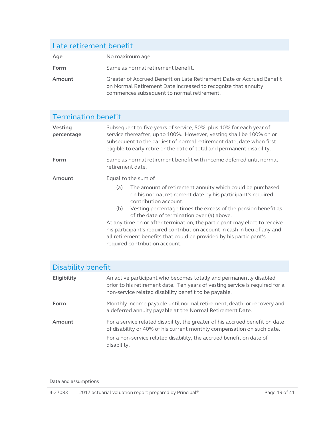# Late retirement benefit Age No maximum age. **Form** Same as normal retirement benefit. **Amount** Greater of Accrued Benefit on Late Retirement Date or Accrued Benefit on Normal Retirement Date increased to recognize that annuity commences subsequent to normal retirement.

#### Termination benefit **Vesting percentage** Subsequent to five years of service, 50%, plus 10% for each year of service thereafter, up to 100%. However, vesting shall be 100% on or subsequent to the earliest of normal retirement date, date when first eligible to early retire or the date of total and permanent disability. **Form** Same as normal retirement benefit with income deferred until normal retirement date. **Amount** Equal to the sum of (a) The amount of retirement annuity which could be purchased on his normal retirement date by his participant's required contribution account. (b) Vesting percentage times the excess of the pension benefit as of the date of termination over (a) above. At any time on or after termination, the participant may elect to receive his participant's required contribution account in cash in lieu of any and all retirement benefits that could be provided by his participant's required contribution account.

| Disability benefit |                                                                                                                                                                                                             |
|--------------------|-------------------------------------------------------------------------------------------------------------------------------------------------------------------------------------------------------------|
| Eligibility        | An active participant who becomes totally and permanently disabled<br>prior to his retirement date. Ten years of vesting service is required for a<br>non-service related disability benefit to be payable. |
| Form               | Monthly income payable until normal retirement, death, or recovery and<br>a deferred annuity payable at the Normal Retirement Date.                                                                         |
| Amount             | For a service related disability, the greater of his accrued benefit on date<br>of disability or 40% of his current monthly compensation on such date.                                                      |
|                    | For a non-service related disability, the accrued benefit on date of<br>disability.                                                                                                                         |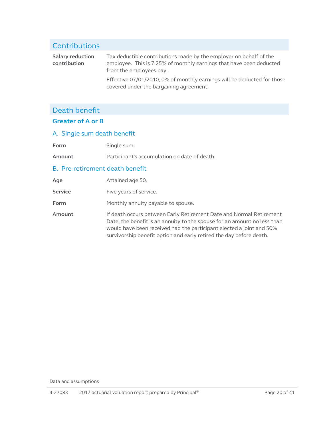#### Contributions **Salary reduction contribution** Tax deductible contributions made by the employer on behalf of the employee. This is 7.25% of monthly earnings that have been deducted from the employees pay. Effective 07/01/2010, 0% of monthly earnings will be deducted for those covered under the bargaining agreement.

## Death benefit

#### **Greater of A or B**

#### A. Single sum death benefit

Form Single sum.

**Amount** Participant's accumulation on date of death.

#### B. Pre-retirement death benefit

| Age            | Attained age 50.                                                                                                                                                                                                                                                                               |
|----------------|------------------------------------------------------------------------------------------------------------------------------------------------------------------------------------------------------------------------------------------------------------------------------------------------|
| <b>Service</b> | Five years of service.                                                                                                                                                                                                                                                                         |
| <b>Form</b>    | Monthly annuity payable to spouse.                                                                                                                                                                                                                                                             |
| Amount         | If death occurs between Early Retirement Date and Normal Retirement<br>Date, the benefit is an annuity to the spouse for an amount no less than<br>would have been received had the participant elected a joint and 50%<br>survivorship benefit option and early retired the day before death. |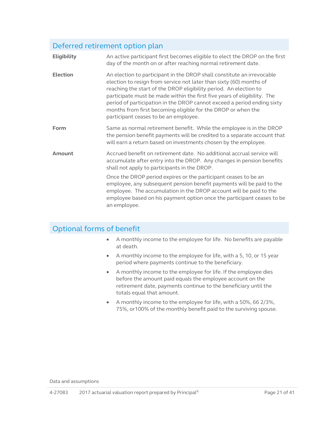## Deferred retirement option plan

| Eligibility     | An active participant first becomes eligible to elect the DROP on the first<br>day of the month on or after reaching normal retirement date.                                                                                                                                                                                                                                                                                                                                       |
|-----------------|------------------------------------------------------------------------------------------------------------------------------------------------------------------------------------------------------------------------------------------------------------------------------------------------------------------------------------------------------------------------------------------------------------------------------------------------------------------------------------|
| <b>Election</b> | An election to participant in the DROP shall constitute an irrevocable<br>election to resign from service not later than sixty (60) months of<br>reaching the start of the DROP eligibility period. An election to<br>participate must be made within the first five years of eligibility. The<br>period of participation in the DROP cannot exceed a period ending sixty<br>months from first becoming eligible for the DROP or when the<br>participant ceases to be an employee. |
| Form            | Same as normal retirement benefit. While the employee is in the DROP<br>the pension benefit payments will be credited to a separate account that<br>will earn a return based on investments chosen by the employee.                                                                                                                                                                                                                                                                |
| Amount          | Accrued benefit on retirement date. No additional accrual service will<br>accumulate after entry into the DROP. Any changes in pension benefits<br>shall not apply to participants in the DROP.                                                                                                                                                                                                                                                                                    |
|                 | Once the DROP period expires or the participant ceases to be an<br>employee, any subsequent pension benefit payments will be paid to the<br>employee. The accumulation in the DROP account will be paid to the<br>employee based on his payment option once the participant ceases to be<br>an employee.                                                                                                                                                                           |

## Optional forms of benefit

- A monthly income to the employee for life. No benefits are payable at death.
- A monthly income to the employee for life, with a 5, 10, or 15 year period where payments continue to the beneficiary.
- A monthly income to the employee for life. If the employee dies before the amount paid equals the employee account on the retirement date, payments continue to the beneficiary until the totals equal that amount.
- A monthly income to the employee for life, with a 50%, 66 2/3%, 75%, or100% of the monthly benefit paid to the surviving spouse.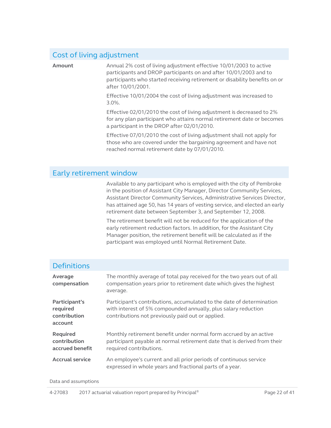#### Cost of living adjustment

Amount Annual 2% cost of living adjustment effective 10/01/2003 to active participants and DROP participants on and after 10/01/2003 and to participants who started receiving retirement or disability benefits on or after 10/01/2001.

> Effective 10/01/2004 the cost of living adjustment was increased to 3.0%.

Effective 02/01/2010 the cost of living adjustment is decreased to 2% for any plan participant who attains normal retirement date or becomes a participant in the DROP after 02/01/2010.

Effective 07/01/2010 the cost of living adjustment shall not apply for those who are covered under the bargaining agreement and have not reached normal retirement date by 07/01/2010.

#### Early retirement window

Available to any participant who is employed with the city of Pembroke in the position of Assistant City Manager, Director Community Services, Assistant Director Community Services, Administrative Services Director, has attained age 50, has 14 years of vesting service, and elected an early retirement date between September 3, and September 12, 2008.

The retirement benefit will not be reduced for the application of the early retirement reduction factors. In addition, for the Assistant City Manager position, the retirement benefit will be calculated as if the participant was employed until Normal Retirement Date.

| <b>Definitions</b>                                   |                                                                                                                                                                                              |
|------------------------------------------------------|----------------------------------------------------------------------------------------------------------------------------------------------------------------------------------------------|
| Average<br>compensation                              | The monthly average of total pay received for the two years out of all<br>compensation years prior to retirement date which gives the highest<br>average.                                    |
| Participant's<br>required<br>contribution<br>account | Participant's contributions, accumulated to the date of determination<br>with interest of 5% compounded annually, plus salary reduction<br>contributions not previously paid out or applied. |
| Required<br>contribution<br>accrued benefit          | Monthly retirement benefit under normal form accrued by an active<br>participant payable at normal retirement date that is derived from their<br>required contributions.                     |
| <b>Accrual service</b>                               | An employee's current and all prior periods of continuous service<br>expressed in whole years and fractional parts of a year.                                                                |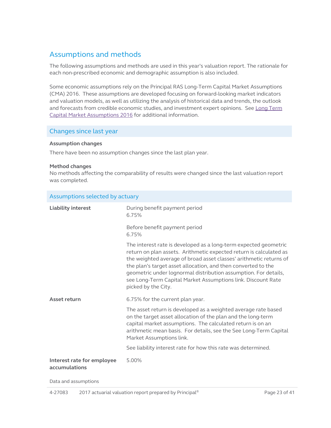## <span id="page-22-2"></span><span id="page-22-0"></span>Assumptions and methods

The following assumptions and methods are used in this year's valuation report. The rationale for each non-prescribed economic and demographic assumption is also included.

Some economic assumptions rely on the Principal RAS Long-Term Capital Market Assumptions (CMA) 2016. These assumptions are developed focusing on forward-looking market indicators and valuation models, as well as utilizing the analysis of historical data and trends, the outlook and forecasts from credible economic studies, and investment expert opinions. See [Long Term](https://secure02.principal.com/publicvsupply/GetFile?fm=PQ12179-0&ty=VOP&EXT=.VOP)  [Capital Market Assumptions 2016](https://secure02.principal.com/publicvsupply/GetFile?fm=PQ12179-0&ty=VOP&EXT=.VOP) for additional information.

#### Changes since last year

#### **Assumption changes**

There have been no assumption changes since the last plan year.

#### **Method changes**

No methods affecting the comparability of results were changed since the last valuation report was completed.

<span id="page-22-1"></span>

| Assumptions selected by actuary             |                                                                                                                                                                                                                                                                                                                                                                                                                                         |  |  |
|---------------------------------------------|-----------------------------------------------------------------------------------------------------------------------------------------------------------------------------------------------------------------------------------------------------------------------------------------------------------------------------------------------------------------------------------------------------------------------------------------|--|--|
| <b>Liability interest</b>                   | During benefit payment period<br>6.75%                                                                                                                                                                                                                                                                                                                                                                                                  |  |  |
|                                             | Before benefit payment period<br>6.75%                                                                                                                                                                                                                                                                                                                                                                                                  |  |  |
|                                             | The interest rate is developed as a long-term expected geometric<br>return on plan assets. Arithmetic expected return is calculated as<br>the weighted average of broad asset classes' arithmetic returns of<br>the plan's target asset allocation, and then converted to the<br>geometric under lognormal distribution assumption. For details,<br>see Long-Term Capital Market Assumptions link. Discount Rate<br>picked by the City. |  |  |
| Asset return                                | 6.75% for the current plan year.                                                                                                                                                                                                                                                                                                                                                                                                        |  |  |
|                                             | The asset return is developed as a weighted average rate based<br>on the target asset allocation of the plan and the long-term<br>capital market assumptions. The calculated return is on an<br>arithmetic mean basis. For details, see the See Long-Term Capital<br>Market Assumptions link.                                                                                                                                           |  |  |
|                                             | See liability interest rate for how this rate was determined.                                                                                                                                                                                                                                                                                                                                                                           |  |  |
| Interest rate for employee<br>accumulations | 5.00%                                                                                                                                                                                                                                                                                                                                                                                                                                   |  |  |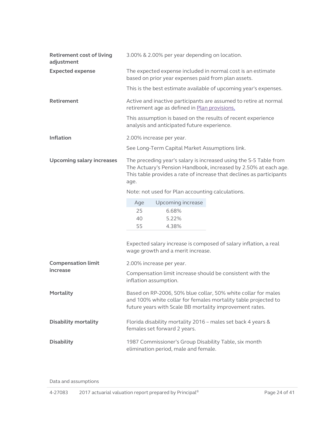<span id="page-23-0"></span>

| <b>Retirement cost of living</b><br>adjustment | 3.00% & 2.00% per year depending on location.                                                                                                                                                                        |  |  |  |
|------------------------------------------------|----------------------------------------------------------------------------------------------------------------------------------------------------------------------------------------------------------------------|--|--|--|
| <b>Expected expense</b>                        | The expected expense included in normal cost is an estimate<br>based on prior year expenses paid from plan assets.                                                                                                   |  |  |  |
|                                                | This is the best estimate available of upcoming year's expenses.                                                                                                                                                     |  |  |  |
| <b>Retirement</b>                              | Active and inactive participants are assumed to retire at normal<br>retirement age as defined in Plan provisions.                                                                                                    |  |  |  |
|                                                | This assumption is based on the results of recent experience<br>analysis and anticipated future experience.                                                                                                          |  |  |  |
| <b>Inflation</b>                               | 2.00% increase per year.                                                                                                                                                                                             |  |  |  |
|                                                | See Long-Term Capital Market Assumptions link.                                                                                                                                                                       |  |  |  |
| <b>Upcoming salary increases</b>               | The preceding year's salary is increased using the S-5 Table from<br>The Actuary's Pension Handbook, increased by 2.50% at each age.<br>This table provides a rate of increase that declines as participants<br>age. |  |  |  |
|                                                | Note: not used for Plan accounting calculations.                                                                                                                                                                     |  |  |  |
|                                                | Upcoming increase<br>Age                                                                                                                                                                                             |  |  |  |
|                                                | 25<br>6.68%<br>40<br>5.22%<br>55<br>4.38%                                                                                                                                                                            |  |  |  |
|                                                | Expected salary increase is composed of salary inflation, a real<br>wage growth and a merit increase.                                                                                                                |  |  |  |
| <b>Compensation limit</b>                      | 2.00% increase per year.                                                                                                                                                                                             |  |  |  |
| increase                                       | Compensation limit increase should be consistent with the<br>inflation assumption.                                                                                                                                   |  |  |  |
| Mortality                                      | Based on RP-2006, 50% blue collar, 50% white collar for males<br>and 100% white collar for females mortality table projected to<br>future years with Scale BB mortality improvement rates.                           |  |  |  |
| <b>Disability mortality</b>                    | Florida disability mortality 2016 - males set back 4 years &<br>females set forward 2 years.                                                                                                                         |  |  |  |
| <b>Disability</b>                              | 1987 Commissioner's Group Disability Table, six month<br>elimination period, male and female.                                                                                                                        |  |  |  |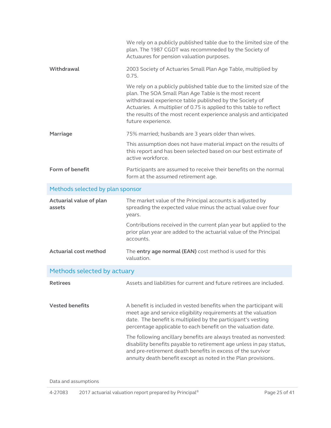<span id="page-24-0"></span>

| We rely on a publicly published table due to the limited size of the<br>plan. The 1987 CGDT was recommneded by the Society of<br>Actuaures for pension valuation purposes.                                                                                                                                                                                                                                                                                                                                                                       |
|--------------------------------------------------------------------------------------------------------------------------------------------------------------------------------------------------------------------------------------------------------------------------------------------------------------------------------------------------------------------------------------------------------------------------------------------------------------------------------------------------------------------------------------------------|
| 2003 Society of Actuaries Small Plan Age Table, multiplied by<br>0.75.                                                                                                                                                                                                                                                                                                                                                                                                                                                                           |
| We rely on a publicly published table due to the limited size of the<br>plan. The SOA Small Plan Age Table is the most recent<br>withdrawal experience table published by the Society of<br>Actuaries. A multiplier of 0.75 is applied to this table to reflect<br>the results of the most recent experience analysis and anticipated<br>future experience.                                                                                                                                                                                      |
| 75% married; husbands are 3 years older than wives.                                                                                                                                                                                                                                                                                                                                                                                                                                                                                              |
| This assumption does not have material impact on the results of<br>this report and has been selected based on our best estimate of<br>active workforce.                                                                                                                                                                                                                                                                                                                                                                                          |
| Participants are assumed to receive their benefits on the normal<br>form at the assumed retirement age.                                                                                                                                                                                                                                                                                                                                                                                                                                          |
| Methods selected by plan sponsor                                                                                                                                                                                                                                                                                                                                                                                                                                                                                                                 |
| The market value of the Principal accounts is adjusted by<br>spreading the expected value minus the actual value over four<br>years.                                                                                                                                                                                                                                                                                                                                                                                                             |
| Contributions received in the current plan year but applied to the<br>prior plan year are added to the actuarial value of the Principal<br>accounts.                                                                                                                                                                                                                                                                                                                                                                                             |
| The entry age normal (EAN) cost method is used for this<br>valuation.                                                                                                                                                                                                                                                                                                                                                                                                                                                                            |
| Methods selected by actuary                                                                                                                                                                                                                                                                                                                                                                                                                                                                                                                      |
| Assets and liabilities for current and future retirees are included.                                                                                                                                                                                                                                                                                                                                                                                                                                                                             |
| A benefit is included in vested benefits when the participant will<br>meet age and service eligibility requirements at the valuation<br>date. The benefit is multiplied by the participant's vesting<br>percentage applicable to each benefit on the valuation date.<br>The following ancillary benefits are always treated as nonvested:<br>disability benefits payable to retirement age unless in pay status,<br>and pre-retirement death benefits in excess of the survivor<br>annuity death benefit except as noted in the Plan provisions. |
|                                                                                                                                                                                                                                                                                                                                                                                                                                                                                                                                                  |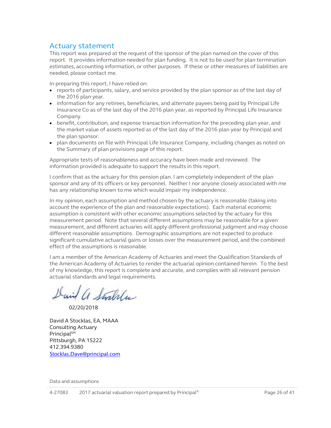#### <span id="page-25-0"></span>Actuary statement

This report was prepared at the request of the sponsor of the plan named on the cover of this report. It provides information needed for plan funding. It is not to be used for plan termination estimates, accounting information, or other purposes. If these or other measures of liabilities are needed, please contact me.

In preparing this report, I have relied on:

- reports of participants, salary, and service provided by the plan sponsor as of the last day of the 2016 plan year.
- information for any retirees, beneficiaries, and alternate payees being paid by Principal Life Insurance Co as of the last day of the 2016 plan year, as reported by Principal Life Insurance Company.
- benefit, contribution, and expense transaction information for the preceding plan year, and the market value of assets reported as of the last day of the 2016 plan year by Principal and the plan sponsor.
- plan documents on file with Principal Life Insurance Company, including changes as noted on the Summary of plan provisions page of this report.

Appropriate tests of reasonableness and accuracy have been made and reviewed. The information provided is adequate to support the results in this report.

I confirm that as the actuary for this pension plan. I am completely independent of the plan sponsor and any of its officers or key personnel. Neither I nor anyone closely associated with me has any relationship known to me which would impair my independence.

In my opinion, each assumption and method chosen by the actuary is reasonable (taking into account the experience of the plan and reasonable expectations). Each material economic assumption is consistent with other economic assumptions selected by the actuary for this measurement period. Note that several different assumptions may be reasonable for a given measurement, and different actuaries will apply different professional judgment and may choose different reasonable assumptions. Demographic assumptions are not expected to produce significant cumulative actuarial gains or losses over the measurement period, and the combined effect of the assumptions is reasonable.

I am a member of the American Academy of Actuaries and meet the Qualification Standards of the American Academy of Actuaries to render the actuarial opinion contained herein. To the best of my knowledge, this report is complete and accurate, and complies with all relevant pension actuarial standards and legal requirements.

David a Stralla

02/20/2018

David A Stocklas, EA, MAAA Consulting Actuary Principal<sup>SM</sup> Pittsburgh, PA 15222 412.394.9380 [Stocklas.Dave@principal.com](mailto:Stocklas.Dave@principal.com)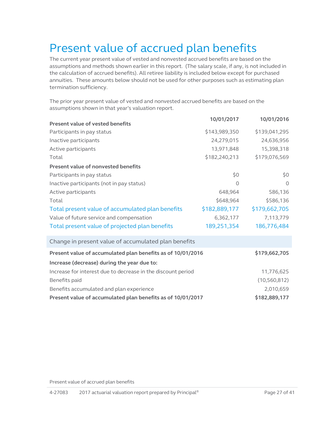# <span id="page-26-1"></span><span id="page-26-0"></span>Present value of accrued plan benefits

The current year present value of vested and nonvested accrued benefits are based on the assumptions and methods shown earlier in this report. (The salary scale, if any, is not included in the calculation of accrued benefits). All retiree liability is included below except for purchased annuities. These amounts below should not be used for other purposes such as estimating plan termination sufficiency.

The prior year present value of vested and nonvested accrued benefits are based on the assumptions shown in that year's valuation report.

|                                                              | 10/01/2017    | 10/01/2016     |
|--------------------------------------------------------------|---------------|----------------|
| <b>Present value of vested benefits</b>                      |               |                |
| Participants in pay status                                   | \$143,989,350 | \$139,041,295  |
| Inactive participants                                        | 24,279,015    | 24,636,956     |
| Active participants                                          | 13,971,848    | 15,398,318     |
| Total                                                        | \$182,240,213 | \$179,076,569  |
| Present value of nonvested benefits                          |               |                |
| Participants in pay status                                   | \$0           | \$0            |
| Inactive participants (not in pay status)                    | $\Omega$      | $\Omega$       |
| Active participants                                          | 648,964       | 586,136        |
| Total                                                        | \$648,964     | \$586,136      |
| Total present value of accumulated plan benefits             | \$182,889,177 | \$179,662,705  |
| Value of future service and compensation                     | 6,362,177     | 7,113,779      |
| Total present value of projected plan benefits               | 189,251,354   | 186,776,484    |
| Change in present value of accumulated plan benefits         |               |                |
| Present value of accumulated plan benefits as of 10/01/2016  |               | \$179,662,705  |
| Increase (decrease) during the year due to:                  |               |                |
| Increase for interest due to decrease in the discount period |               | 11,776,625     |
| Benefits paid                                                |               | (10, 560, 812) |
| Benefits accumulated and plan experience                     |               | 2,010,659      |
| Present value of accumulated plan benefits as of 10/01/2017  |               | \$182,889,177  |

<span id="page-26-2"></span>Present value of accrued plan benefits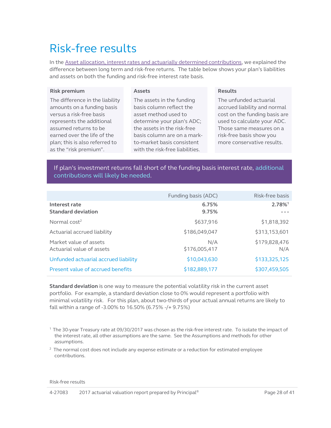# <span id="page-27-1"></span>Risk-free results

In the Asset allocation, interest rates and actuarially determined contributions, we explained the difference between long term and risk-free returns. The table below shows your plan's liabilities and assets on both the funding and risk-free interest rate basis.

#### **Risk premium**

#### <span id="page-27-0"></span>**Assets**

The difference in the liability amounts on a funding basis versus a risk-free basis represents the additional assumed returns to be earned over the life of the plan; this is also referred to as the "risk premium".

The assets in the funding basis column reflect the asset method used to determine your plan's ADC; the assets in the risk-free basis column are on a markto-market basis consistent with the risk-free liabilities.

#### **Results**

The unfunded actuarial accrued liability and normal cost on the funding basis are used to calculate your ADC. Those same measures on a risk-free basis show you more conservative results.

If plan's investment returns fall short of the funding basis interest rate, additional contributions will likely be needed.

|                                                     | Funding basis (ADC)  | Risk-free basis      |
|-----------------------------------------------------|----------------------|----------------------|
| Interest rate<br><b>Standard deviation</b>          | 6.75%<br>9.75%       | 2.78%                |
| Normal $cost2$                                      | \$637,916            | \$1,818,392          |
| Actuarial accrued liability                         | \$186,049,047        | \$313,153,601        |
| Market value of assets<br>Actuarial value of assets | N/A<br>\$176,005,417 | \$179,828,476<br>N/A |
| Unfunded actuarial accrued liability                | \$10,043,630         | \$133,325,125        |
| Present value of accrued benefits                   | \$182,889,177        | \$307,459,505        |

**Standard deviation** is one way to measure the potential volatility risk in the current asset portfolio. For example, a standard deviation close to 0% would represent a portfolio with minimal volatility risk. For this plan, about two-thirds of your actual annual returns are likely to fall within a range of -3.00% to 16.50% (6.75% -/+ 9.75%)

1 The 30-year Treasury rate at 09/30/2017 was chosen as the risk-free interest rate. To isolate the impact of the interest rate, all other assumptions are the same. See the Assumptions and methods for other assumptions.

 $2$  The normal cost does not include any expense estimate or a reduction for estimated employee contributions.

Risk-free results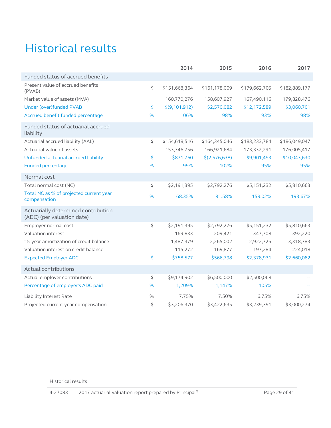# <span id="page-28-0"></span>Historical results

|                                                                   |      | 2014          | 2015          | 2016          | 2017          |
|-------------------------------------------------------------------|------|---------------|---------------|---------------|---------------|
| Funded status of accrued benefits                                 |      |               |               |               |               |
| Present value of accrued benefits<br>(PVAB)                       | \$   | \$151,668,364 | \$161,178,009 | \$179,662,705 | \$182,889,177 |
| Market value of assets (MVA)                                      |      | 160,770,276   | 158,607,927   | 167,490,116   | 179,828,476   |
| Under (over)funded PVAB                                           | \$   | \$(9,101,912) | \$2,570,082   | \$12,172,589  | \$3,060,701   |
| Accrued benefit funded percentage                                 | %    | 106%          | 98%           | 93%           | 98%           |
| Funded status of actuarial accrued<br>liability                   |      |               |               |               |               |
| Actuarial accrued liability (AAL)                                 | \$   | \$154,618,516 | \$164,345,046 | \$183,233,784 | \$186,049,047 |
| Actuarial value of assets                                         |      | 153,746,756   | 166,921,684   | 173,332,291   | 176,005,417   |
| Unfunded actuarial accrued liability                              | \$   | \$871,760     | \$(2,576,638) | \$9,901,493   | \$10,043,630  |
| <b>Funded percentage</b>                                          | %    | 99%           | 102%          | 95%           | 95%           |
| Normal cost                                                       |      |               |               |               |               |
| Total normal cost (NC)                                            | \$   | \$2,191,395   | \$2,792,276   | \$5,151,232   | \$5,810,663   |
| Total NC as % of projected current year<br>compensation           | %    | 68.35%        | 81.58%        | 159.02%       | 193.67%       |
| Actuarially determined contribution<br>(ADC) (per valuation date) |      |               |               |               |               |
| Employer normal cost                                              | \$   | \$2,191,395   | \$2,792,276   | \$5,151,232   | \$5,810,663   |
| Valuation interest                                                |      | 169,833       | 209,421       | 347,708       | 392,220       |
| 15-year amortization of credit balance                            |      | 1,487,379     | 2,265,002     | 2,922,725     | 3,318,783     |
| Valuation interest on credit balance                              |      | 115,272       | 169,877       | 197,284       | 224,018       |
| <b>Expected Employer ADC</b>                                      | \$   | \$758,577     | \$566,798     | \$2,378,931   | \$2,660,082   |
| Actual contributions                                              |      |               |               |               |               |
| Actual employer contributions                                     | \$   | \$9,174,902   | \$6,500,000   | \$2,500,068   |               |
| Percentage of employer's ADC paid                                 | %    | 1,209%        | 1,147%        | 105%          |               |
| Liability Interest Rate                                           | $\%$ | 7.75%         | 7.50%         | 6.75%         | 6.75%         |
| Projected current year compensation                               | \$   | \$3,206,370   | \$3,422,635   | \$3,239,391   | \$3,000,274   |

Historical results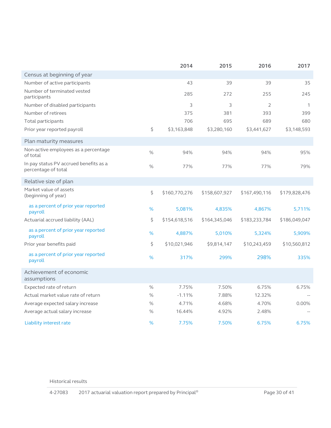|                                                               |      | 2014          | 2015          | 2016           | 2017          |
|---------------------------------------------------------------|------|---------------|---------------|----------------|---------------|
| Census at beginning of year                                   |      |               |               |                |               |
| Number of active participants                                 |      | 43            | 39            | 39             | 35            |
| Number of terminated vested<br>participants                   |      | 285           | 272           | 255            | 245           |
| Number of disabled participants                               |      | 3             | 3             | $\overline{2}$ | $\mathcal{I}$ |
| Number of retirees                                            |      | 375           | 381           | 393            | 399           |
| Total participants                                            |      | 706           | 695           | 689            | 680           |
| Prior year reported payroll                                   | \$   | \$3,163,848   | \$3,280,160   | \$3,441,627    | \$3,148,593   |
| Plan maturity measures                                        |      |               |               |                |               |
| Non-active employees as a percentage<br>of total              | $\%$ | 94%           | 94%           | 94%            | 95%           |
| In pay status PV accrued benefits as a<br>percentage of total | %    | 77%           | 77%           | 77%            | 79%           |
| Relative size of plan                                         |      |               |               |                |               |
| Market value of assets<br>(beginning of year)                 | \$   | \$160,770,276 | \$158,607,927 | \$167,490,116  | \$179,828,476 |
| as a percent of prior year reported<br>payroll                | %    | 5,081%        | 4,835%        | 4,867%         | 5,711%        |
| Actuarial accrued liability (AAL)                             | \$   | \$154,618,516 | \$164,345,046 | \$183,233,784  | \$186,049,047 |
| as a percent of prior year reported<br>payroll                | %    | 4,887%        | 5,010%        | 5,324%         | 5,909%        |
| Prior year benefits paid                                      | \$   | \$10,021,946  | \$9,814,147   | \$10,243,459   | \$10,560,812  |
| as a percent of prior year reported<br>payroll                | %    | 317%          | 299%          | 298%           | 335%          |
| Achievement of economic<br>assumptions                        |      |               |               |                |               |
| Expected rate of return                                       | $\%$ | 7.75%         | 7.50%         | 6.75%          | 6.75%         |
| Actual market value rate of return                            | $\%$ | $-1.11%$      | 7.88%         | 12.32%         |               |
| Average expected salary increase                              | $\%$ | 4.71%         | 4.68%         | 4.70%          | 0.00%         |
| Average actual salary increase                                | $\%$ | 16.44%        | 4.92%         | 2.48%          |               |
| Liability interest rate                                       | %    | 7.75%         | 7.50%         | 6.75%          | 6.75%         |

Historical results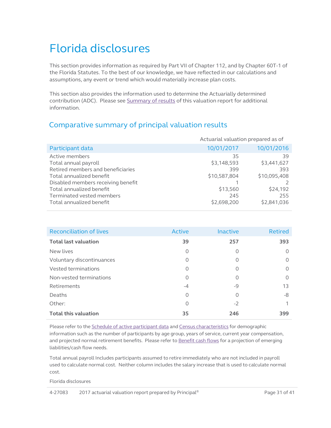# <span id="page-30-0"></span>Florida disclosures

This section provides information as required by Part VII of Chapter 112, and by Chapter 60T-1 of the Florida Statutes. To the best of our knowledge, we have reflected in our calculations and assumptions, any event or trend which would materially increase plan costs.

This section also provides the information used to determine the Actuarially determined contribution (ADC). Please se[e Summary of results](#page-2-0) of this valuation report for additional information.

## Comparative summary of principal valuation results

<span id="page-30-1"></span>

|                                    | Actuarial valuation prepared as of |              |
|------------------------------------|------------------------------------|--------------|
| Participant data                   | 10/01/2017                         | 10/01/2016   |
| Active members                     | 35                                 | 39           |
| Total annual payroll               | \$3,148,593                        | \$3,441,627  |
| Retired members and beneficiaries  | 399                                | 393          |
| Total annualized benefit           | \$10,587,804                       | \$10,095,408 |
| Disabled members receiving benefit |                                    |              |
| Total annualized benefit           | \$13,560                           | \$24,192     |
| Terminated vested members          | 245                                | 255          |
| Total annualized benefit           | \$2,698,200                        | \$2,841,036  |

| <b>Reconciliation of lives</b> | Active   | Inactive | <b>Retired</b> |
|--------------------------------|----------|----------|----------------|
| <b>Total last valuation</b>    | 39       | 257      | 393            |
| New lives                      | $\Omega$ | 0        | $\Omega$       |
| Voluntary discontinuances      | $\circ$  | 0        | $\circ$        |
| Vested terminations            | 0        | 0        | $\circ$        |
| Non-vested terminations        | 0        | 0        | $\circ$        |
| Retirements                    | $-4$     | -9       | 13             |
| Deaths                         | $\Omega$ | 0        | -8             |
| Other:                         | $\Omega$ | $-2$     |                |
| <b>Total this valuation</b>    | 35       | 246      | 399            |

Please refer to the *Schedule of active participant data* and *Census characteristics* for demographic information such as the number of participants by age group, years of service, current year compensation, and projected normal retirement benefits. Please refer t[o Benefit cash flows](#page-15-1) for a projection of emerging liabilities/cash flow needs.

Total annual payroll Includes participants assumed to retire immediately who are not included in payroll used to calculate normal cost. Neither column includes the salary increase that is used to calculate normal cost.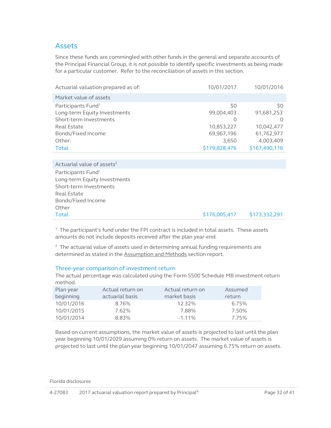#### Assets

Since these funds are commingled with other funds in the general and separate accounts of the Principal Financial Group, it is not possible to identify specific investments as being made for a particular customer. Refer to the reconciliation of assets in this section.

| Actuarial valuation prepared as of: | 10/01/2017    | 10/01/2016       |
|-------------------------------------|---------------|------------------|
| Market value of assets              |               |                  |
| Participants Fund <sup>1</sup>      | \$0           | \$0              |
| Long-term Equity Investments        | 99,004,403    | 91,681,253       |
| Short-term Investments              | $\cup$        | $\left( \right)$ |
| Real Estate                         | 10,853,227    | 10,042,477       |
| Bonds/Fixed Income                  | 69,967,196    | 61,762,977       |
| Other:                              | 3,650         | 4,003,409        |
| Total                               | \$179,828,476 | \$167,490,116    |
|                                     |               |                  |

Actuarial value of assets<sup>2</sup> Participants Fund<sup>1</sup> Long-term Equity Investments Short-term Investments Real Estate Bonds/Fixed Income Other Total \$178,005,417 \$173,332,291

 $<sup>1</sup>$  The participant's fund under the FPI contract is included in total assets. These assets</sup> amounts do not include deposits received after the plan year-end.

 $2$  The actuarial value of assets used in determining annual funding requirements are determined as stated in the **Assumption and Methods** section report.

#### Three-year comparison of investment return

The actual percentage was calculated using the Form 5500 Schedule MB investment return method.

| Plan year  | Actual return on | Actual return on | Assumed |
|------------|------------------|------------------|---------|
| beginning  | actuarial basis  | market basis     | return  |
| 10/01/2016 | 8.76%            | 12.32%           | 6.75%   |
| 10/01/2015 | 7.62%            | 7.88%            | 7.50%   |
| 10/01/2014 | 8.83%            | $-1.11\%$        | 7.75%   |

Based on current assumptions, the market value of assets is projected to last until the plan year beginning 10/01/2029 assuming 0% return on assets. The market value of assets is projected to last until the plan year beginning 10/01/2047 assuming 6.75% return on assets.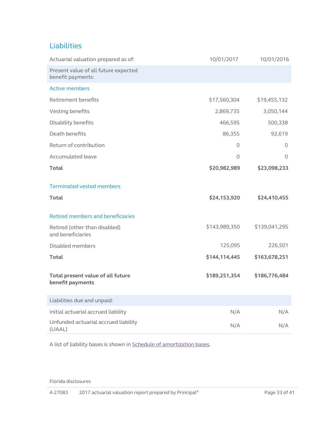## Liabilities

| Actuarial valuation prepared as of:                       | 10/01/2017    | 10/01/2016    |
|-----------------------------------------------------------|---------------|---------------|
| Present value of all future expected<br>benefit payments: |               |               |
| <b>Active members</b>                                     |               |               |
| Retirement benefits                                       | \$17,560,304  | \$19,455,132  |
| Vesting benefits                                          | 2,869,735     | 3,050,144     |
| Disability benefits                                       | 466,595       | 500,338       |
| Death benefits                                            | 86,355        | 92,619        |
| Return of contribution                                    | 0             | 0             |
| Accumulated leave                                         | 0             | $\circ$       |
| <b>Total</b>                                              | \$20,982,989  | \$23,098,233  |
| <b>Terminated vested members</b>                          |               |               |
| Total                                                     | \$24,153,920  | \$24,410,455  |
| Retired members and beneficiaries                         |               |               |
| Retired (other than disabled)<br>and beneficiaries        | \$143,989,350 | \$139,041,295 |
| Disabled members                                          | 125,095       | 226,501       |
| <b>Total</b>                                              | \$144,114,445 | \$163,678,251 |
| Total present value of all future<br>benefit payments     | \$189,251,354 | \$186,776,484 |
| Liabilities due and unpaid:                               |               |               |
| Initial actuarial accrued liability                       | N/A           | N/A           |
| Unfunded actuarial accrued liability<br>(UAAL)            | N/A           | N/A           |

A list of liability bases is shown in Schedule of [amortization bases.](#page-11-1)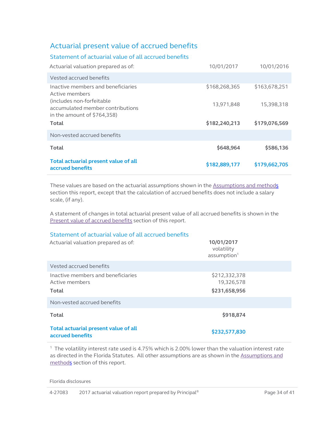## Actuarial present value of accrued benefits

| Statement of actuarial value of all accrued benefits                                            |               |               |
|-------------------------------------------------------------------------------------------------|---------------|---------------|
| Actuarial valuation prepared as of:                                                             | 10/01/2017    | 10/01/2016    |
| Vested accrued benefits                                                                         |               |               |
| Inactive members and beneficiaries<br>Active members                                            | \$168,268,365 | \$163,678,251 |
| (includes non-forfeitable)<br>accumulated member contributions<br>in the amount of $$764,358$ ) | 13,971,848    | 15,398,318    |
| Total                                                                                           | \$182,240,213 | \$179,076,569 |
| Non-vested accrued benefits                                                                     |               |               |
| Total                                                                                           | \$648,964     | \$586,136     |
| Total actuarial present value of all<br>accrued benefits                                        | \$182,889,177 | \$179,662,705 |

These values are based on the actuarial assumptions shown in the [Assumptions and methods](#page-22-2) section this report, except that the calculation of accrued benefits does not include a salary scale, (if any).

A statement of changes in total actuarial present value of all accrued benefits is shown in the [Present value of accrued benefits](#page-26-1) section of this report.

#### Statement of actuarial value of all accrued benefits

| Actuarial valuation prepared as of:                           | 10/01/2017<br>volatility<br>assumption <sup>1</sup> |
|---------------------------------------------------------------|-----------------------------------------------------|
| Vested accrued benefits                                       |                                                     |
| Inactive members and beneficiaries<br>Active members<br>Total | \$212,332,378<br>19,326,578<br>\$231,658,956        |
| Non-vested accrued benefits                                   |                                                     |
| <b>Total</b>                                                  | \$918,874                                           |
| Total actuarial present value of all<br>accrued benefits      | \$232,577,830                                       |

1 The volatility interest rate used is 4.75% which is 2.00% lower than the valuation interest rate as directed in the Florida Statutes. All other assumptions are as shown in the [Assumptions and](#page-22-2)  [methods](#page-22-2) section of this report.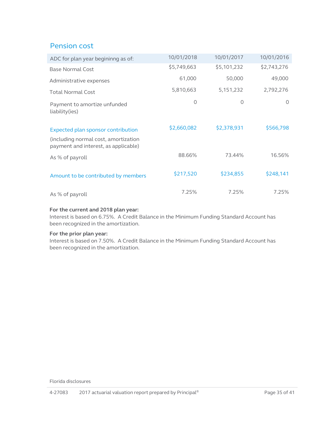## Pension cost

| ADC for plan year begininng as of:                                           | 10/01/2018  | 10/01/2017  | 10/01/2016  |
|------------------------------------------------------------------------------|-------------|-------------|-------------|
| <b>Base Normal Cost</b>                                                      | \$5,749,663 | \$5,101,232 | \$2,743,276 |
| Administrative expenses                                                      | 61,000      | 50,000      | 49,000      |
| <b>Total Normal Cost</b>                                                     | 5,810,663   | 5,151,232   | 2,792,276   |
| Payment to amortize unfunded<br>liability(ies)                               | $\Omega$    | $\circ$     | $\Omega$    |
| Expected plan sponsor contribution                                           | \$2,660,082 | \$2,378,931 | \$566,798   |
| (including normal cost, amortization<br>payment and interest, as applicable) |             |             |             |
| As % of payroll                                                              | 88.66%      | 73.44%      | 16.56%      |
| Amount to be contributed by members                                          | \$217,520   | \$234,855   | \$248,141   |
| As % of payroll                                                              | 7.25%       | 7.25%       | 7.25%       |

#### **For the current and 2018 plan year:**

Interest is based on 6.75%. A Credit Balance in the Minimum Funding Standard Account has been recognized in the amortization.

#### **For the prior plan year:**

Interest is based on 7.50%. A Credit Balance in the Minimum Funding Standard Account has been recognized in the amortization.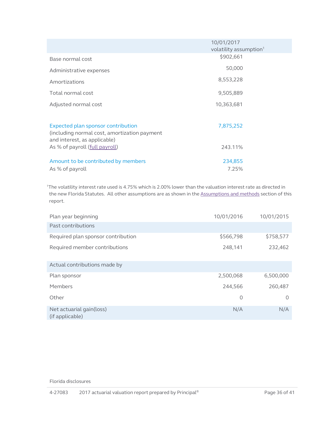|                                                                              | 10/01/2017<br>volatility assumption <sup>1</sup> |  |
|------------------------------------------------------------------------------|--------------------------------------------------|--|
| Base normal cost                                                             | \$902,661                                        |  |
| Administrative expenses                                                      | 50,000                                           |  |
| Amortizations                                                                | 8,553,228                                        |  |
| Total normal cost                                                            | 9,505,889                                        |  |
| Adjusted normal cost                                                         | 10,363,681                                       |  |
|                                                                              |                                                  |  |
| Expected plan sponsor contribution                                           | 7,875,252                                        |  |
| (including normal cost, amortization payment<br>and interest, as applicable) |                                                  |  |
| As % of payroll (full payroll)                                               | 243.11%                                          |  |
| Amount to be contributed by members                                          | 234,855                                          |  |
| As % of payroll                                                              | 7.25%                                            |  |

1The volatility interest rate used is 4.75% which is 2.00% lower than the valuation interest rate as directed in the new Florida Statutes. All other assumptions are as shown in the [Assumptions and methods](#page-22-2) section of this report.

| Plan year beginning                         | 10/01/2016 | 10/01/2015 |
|---------------------------------------------|------------|------------|
| Past contributions                          |            |            |
| Required plan sponsor contribution          | \$566,798  | \$758,577  |
| Required member contributions               | 248,141    | 232,462    |
| Actual contributions made by                |            |            |
| Plan sponsor                                | 2,500,068  | 6,500,000  |
| Members                                     | 244,566    | 260,487    |
| Other                                       | $\circ$    | $\circ$    |
| Net actuarial gain(loss)<br>(if applicable) | N/A        | N/A        |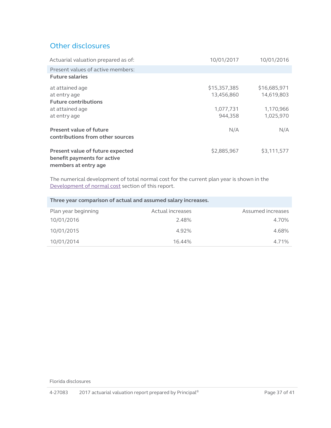## Other disclosures

| Actuarial valuation prepared as of:                                                     | 10/01/2017                 | 10/01/2016                 |
|-----------------------------------------------------------------------------------------|----------------------------|----------------------------|
| Present values of active members:                                                       |                            |                            |
| <b>Future salaries</b>                                                                  |                            |                            |
| at attained age<br>at entry age                                                         | \$15,357,385<br>13,456,860 | \$16,685,971<br>14,619,803 |
| <b>Future contributions</b><br>at attained age<br>at entry age                          | 1,077,731<br>944,358       | 1,170,966<br>1,025,970     |
| Present value of future<br>contributions from other sources                             | N/A                        | N/A                        |
| Present value of future expected<br>benefit payments for active<br>members at entry age | \$2,885,967                | \$3,111,577                |

The numerical development of total normal cost for the current plan year is shown in the [Development of normal cost](#page-9-2) section of this report.

| Three year comparison of actual and assumed salary increases. |                  |                   |
|---------------------------------------------------------------|------------------|-------------------|
| Plan year beginning                                           | Actual increases | Assumed increases |
| 10/01/2016                                                    | 2.48%            | 4.70%             |
| 10/01/2015                                                    | 4.92%            | 4.68%             |
| 10/01/2014                                                    | 16.44%           | 4.71%             |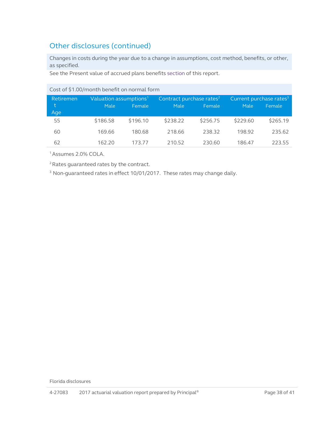# Other disclosures (continued)

Changes in costs during the year due to a change in assumptions, cost method, benefits, or other, as specified.

See the Present value of accrued plans benefits [section](#page-26-2) of this report.

| COSE OF PIROTIOIRED DETENT ON HOLLIGE FOLLE |                                    |          |                                      |          |                                     |          |  |  |  |  |  |  |  |
|---------------------------------------------|------------------------------------|----------|--------------------------------------|----------|-------------------------------------|----------|--|--|--|--|--|--|--|
| Retiremen                                   | Valuation assumptions <sup>1</sup> |          | Contract purchase rates <sup>2</sup> |          | Current purchase rates <sup>3</sup> |          |  |  |  |  |  |  |  |
| t                                           | Male                               | Female   | Male                                 | Female   | Male                                | Female   |  |  |  |  |  |  |  |
| Age                                         |                                    |          |                                      |          |                                     |          |  |  |  |  |  |  |  |
| 55                                          | \$186.58                           | \$196.10 | \$238.22                             | \$256.75 | \$229.60                            | \$265.19 |  |  |  |  |  |  |  |
| 60                                          | 169.66                             | 180.68   | 218.66                               | 238.32   | 198.92                              | 235.62   |  |  |  |  |  |  |  |
| 62                                          | 162.20                             | 173.77   | 210.52                               | 230.60   | 186.47                              | 223.55   |  |  |  |  |  |  |  |

Cost of \$1.00/month benefit on normal form

1 Assumes 2.0% COLA.

2 Rates guaranteed rates by the contract.

<sup>3</sup> Non-guaranteed rates in effect 10/01/2017. These rates may change daily.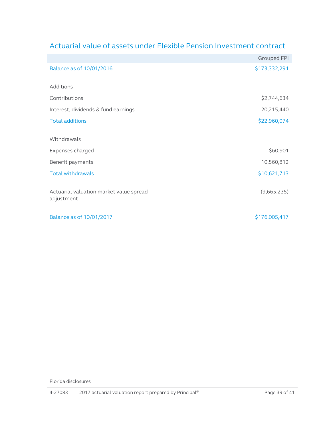|                                         | <b>Grouped FPI</b> |
|-----------------------------------------|--------------------|
| Balance as of 10/01/2016                | \$173,332,291      |
| Additions                               |                    |
| Contributions                           | \$2,744,634        |
| Interest, dividends & fund earnings     | 20,215,440         |
| <b>Total additions</b>                  | \$22,960,074       |
|                                         |                    |
| Withdrawals                             |                    |
| Expenses charged                        | \$60,901           |
| Benefit payments                        | 10,560,812         |
| <b>Total withdrawals</b>                | \$10,621,713       |
| Actuarial valuation market value spread | (9,665,235)        |
| adjustment                              |                    |
|                                         |                    |
| Balance as of 10/01/2017                | \$176,005,417      |

# Actuarial value of assets under Flexible Pension Investment contract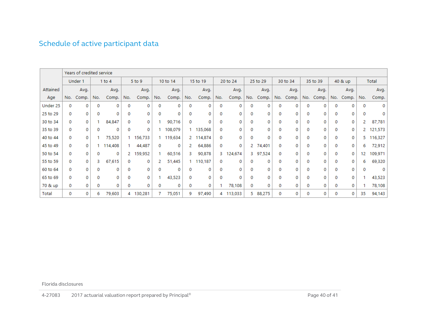# Schedule of active participant data

<span id="page-39-0"></span>

|          | Years of credited service |         |             |            |             |         |          |           |          |           |          |         |              |          |             |       |          |         |         |         |              |           |
|----------|---------------------------|---------|-------------|------------|-------------|---------|----------|-----------|----------|-----------|----------|---------|--------------|----------|-------------|-------|----------|---------|---------|---------|--------------|-----------|
|          |                           | Under 1 |             | $1$ to $4$ |             | 5 to 9  | 10 to 14 |           | 15 to 19 |           | 20 to 24 |         | 25 to 29     |          | 30 to 34    |       | 35 to 39 |         | 40 & up |         | Total        |           |
| Attained |                           | Avg.    |             | Avg.       |             | Avg.    |          | Avg.      |          | Avg.      |          | Avg.    |              | Avg.     |             | Avg.  |          | Avg.    |         | Avg.    |              | Avg.      |
| Age      | No.                       | Comp.   | No.         | Comp.      | No.         | Comp.   | No.      | Comp.     | No.      | Comp.     | No.      | Comp.   | No.          | Comp.    | No.         | Comp. | No.      | Comp.   | No.     | Comp.   | No.          | Comp.     |
| Under 25 | 0                         | 0       | $\mathbf 0$ | 0          | $\mathbf 0$ | 0       | 0        | 0         | 0        | 0         | 0        | 0       | 0            | 0        | 0           | 0     | 0        | 0       | 0       | 0       | $\mathbf{0}$ | 0         |
| 25 to 29 | 0                         | 0       | 0           | 0          | 0           | 0       | 0        | 0         | 0        | 0         | 0        | 0       | 0            | 0        | 0           | 0     | 0        | 0       | 0       | 0       | $\Omega$     | 0         |
| 30 to 34 | 0                         | 0       |             | 84,847     | 0           | 0       |          | 90,716    | 0        | 0         | 0        | 0       | 0            | 0        | o           | 0     | 0        | $\circ$ | 0       | $\circ$ |              | 87,781    |
| 35 to 39 | 0                         | 0       | 0           | 0          | 0           | 0       |          | 108,079   |          | 135,068   | 0        | 0       | 0            | 0        | 0           | 0     | 0        | 0       | 0       | 0       |              | 2 121,573 |
| 40 to 44 | 0                         | 0       |             | 75,520     |             | 156,733 |          | 1 119,634 |          | 2 114,874 | 0        | 0       | 0            | 0        | 0           | 0     | 0        | 0       | 0       | 0       |              | 5 116,327 |
| 45 to 49 | 0                         | 0       |             | 114,408    |             | 44,487  | 0        | 0         | 2        | 64,886    | 0        | 0       | 2            | 74,401   | 0           | 0     | 0        | 0       | 0       | 0       | 6            | 72,912    |
| 50 to 54 | 0                         | 0       | 0           | 0          | 2.          | 159,952 |          | 60,516    | 3.       | 90,878    | з.       | 124,674 |              | 3 97,524 | 0           | 0     | 0        | $\circ$ | 0       | $\circ$ | 12           | 109,971   |
| 55 to 59 | 0                         | 0       | 3           | 67,615     | 0           | 0       |          | 51,445    |          | 110,187   | 0        | 0       | 0            | 0        | 0           | 0     | 0        | 0       | 0       | 0       | 6            | 69,320    |
| 60 to 64 | 0                         | 0       | 0           | 0          | 0           | 0       | 0        | 0         | 0        | 0         | 0        | 0       | $\mathbf{0}$ | 0        | $\mathbf 0$ | 0     | $\bf{0}$ | 0       | 0       | 0       | 0            | 0         |
| 65 to 69 | 0                         | 0       | 0           | 0          | 0           | 0       |          | 43,523    | 0        | 0         | 0        | 0       | $\mathbf 0$  | 0        | 0           | 0     | 0        | 0       | 0       | 0       |              | 43,523    |
| 70 & up  | 0                         | 0       | 0           | 0          | 0           | 0       | 0        | 0         | 0        | 0         |          | 78,108  | 0            | 0        | 0           | 0     | 0        | 0       | 0       | 0       |              | 78,108    |
| Total    | 0                         | 0       | 6           | 79,603     | 4           | 130,281 |          | 75,051    | 9        | 97,490    | 4        | 113,033 |              | 5 88,275 | 0           | 0     | 0        | 0       | 0       | 0       | 35           | 94,143    |